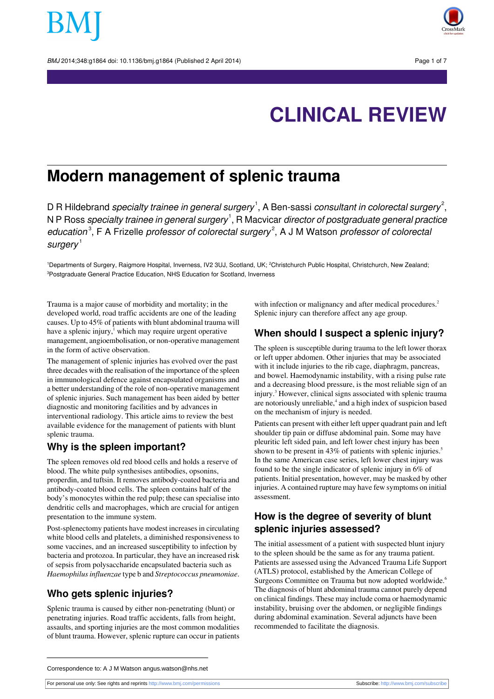BMJ 2014:348:g1864 doi: 10.1136/bmi.g1864 (Published 2 April 2014) Page 1 of 7



# **CLINICAL REVIEW**

## **Modern management of splenic trauma**

D R Hildebrand *specialty trainee in general surgery*  $^1$ , A Ben-sassi *consultant in colorectal surgery*  $^2$ , N P Ross specialty trainee in general surgery $^{\text{!}},$  R Macvicar director of postgraduate general practice education<sup>3</sup>, F A Frizelle professor of colorectal surgery<sup>2</sup>, A J M Watson professor of colorecta  $s$ urgery<sup>1</sup>

<sup>1</sup>Departments of Surgery, Raigmore Hospital, Inverness, IV2 3UJ, Scotland, UK; <sup>2</sup>Christchurch Public Hospital, Christchurch, New Zealand; <sup>3</sup>Postgraduate General Practice Education, NHS Education for Scotland, Inverness

Trauma is a major cause of morbidity and mortality; in the developed world, road traffic accidents are one of the leading causes. Up to 45% of patients with blunt abdominal trauma will have a splenic injury,<sup>1</sup> which may require urgent operative management, angioembolisation, or non-operative management in the form of active observation.

The management of splenic injuries has evolved over the past three decades with the realisation of the importance of the spleen in immunological defence against encapsulated organisms and a better understanding of the role of non-operative management of splenic injuries. Such management has been aided by better diagnostic and monitoring facilities and by advances in interventional radiology. This article aims to review the best available evidence for the management of patients with blunt splenic trauma.

#### **Why is the spleen important?**

The spleen removes old red blood cells and holds a reserve of blood. The white pulp synthesises antibodies, opsonins, properdin, and tuftsin. It removes antibody-coated bacteria and antibody-coated blood cells. The spleen contains half of the body's monocytes within the red pulp; these can specialise into dendritic cells and macrophages, which are crucial for antigen presentation to the immune system.

Post-splenectomy patients have modest increases in circulating white blood cells and platelets, a diminished responsiveness to some vaccines, and an increased susceptibility to infection by bacteria and protozoa. In particular, they have an increased risk of sepsis from polysaccharide encapsulated bacteria such as *Haemophilusinfluenzae* type b and *Streptococcus pneumoniae*.

#### **Who gets splenic injuries?**

Splenic trauma is caused by either non-penetrating (blunt) or penetrating injuries. Road traffic accidents, falls from height, assaults, and sporting injuries are the most common modalities of blunt trauma. However, splenic rupture can occur in patients with infection or malignancy and after medical procedures.<sup>2</sup> Splenic injury can therefore affect any age group.

#### **When should I suspect a splenic injury?**

The spleen is susceptible during trauma to the left lower thorax or left upper abdomen. Other injuries that may be associated with it include injuries to the rib cage, diaphragm, pancreas, and bowel. Haemodynamic instability, with a rising pulse rate and a decreasing blood pressure, is the most reliable sign of an injury.<sup>3</sup> However, clinical signs associated with splenic trauma are notoriously unreliable,<sup>4</sup> and a high index of suspicion based on the mechanism of injury is needed.

Patients can present with either left upper quadrant pain and left shoulder tip pain or diffuse abdominal pain. Some may have pleuritic left sided pain, and left lower chest injury has been shown to be present in 43% of patients with splenic injuries.<sup>5</sup> In the same American case series, left lower chest injury was found to be the single indicator of splenic injury in 6% of patients. Initial presentation, however, may be masked by other injuries. A contained rupture may have few symptoms on initial assessment.

### **How is the degree of severity of blunt splenic injuries assessed?**

The initial assessment of a patient with suspected blunt injury to the spleen should be the same as for any trauma patient. Patients are assessed using the Advanced Trauma Life Support (ATLS) protocol, established by the American College of Surgeons Committee on Trauma but now adopted worldwide.<sup>6</sup> The diagnosis of blunt abdominal trauma cannot purely depend on clinical findings. These may include coma or haemodynamic instability, bruising over the abdomen, or negligible findings during abdominal examination. Several adjuncts have been recommended to facilitate the diagnosis.

For personal use only: See rights and reprints<http://www.bmj.com/permissions> Subscribe: <http://www.bmj.com/subscribe>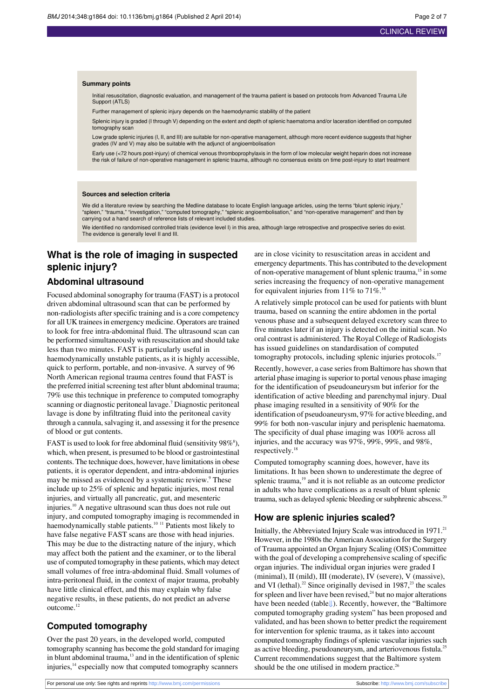#### **Summary points**

Initial resuscitation, diagnostic evaluation, and management of the trauma patient is based on protocols from Advanced Trauma Life Support (ATLS)

Further management of splenic injury depends on the haemodynamic stability of the patient

Splenic injury is graded (I through V) depending on the extent and depth of splenic haematoma and/or laceration identified on computed tomography scan

Low grade splenic injuries (I, II, and III) are suitable for non-operative management, although more recent evidence suggests that higher grades (IV and V) may also be suitable with the adjunct of angioembolisation

Early use (<72 hours post-injury) of chemical venous thromboprophylaxis in the form of low molecular weight heparin does not increase the risk of failure of non-operative management in splenic trauma, although no consensus exists on time post-injury to start treatment

#### **Sources and selection criteria**

We did a literature review by searching the Medline database to locate English language articles, using the terms "blunt splenic injury,"<br>"spleen," "trauma," "investigation," "computed tomography," "splenic angioembolisati carrying out a hand search of reference lists of relevant included studies.

We identified no randomised controlled trials (evidence level I) in this area, although large retrospective and prospective series do exist. The evidence is generally level II and III.

## **What is the role of imaging in suspected splenic injury?**

#### **Abdominal ultrasound**

Focused abdominal sonography for trauma (FAST) is a protocol driven abdominal ultrasound scan that can be performed by non-radiologists after specific training and is a core competency for all UK trainees in emergency medicine. Operators are trained to look for free intra-abdominal fluid. The ultrasound scan can be performed simultaneously with resuscitation and should take less than two minutes. FAST is particularly useful in haemodynamically unstable patients, as it is highly accessible, quick to perform, portable, and non-invasive. A survey of 96 North American regional trauma centres found that FAST is the preferred initial screening test after blunt abdominal trauma; 79% use this technique in preference to computed tomography scanning or diagnostic peritoneal lavage.<sup>7</sup> Diagnostic peritoneal lavage is done by infiltrating fluid into the peritoneal cavity through a cannula, salvaging it, and assessing it for the presence of blood or gut contents.

FAST is used to look for free abdominal fluid (sensitivity  $98\%$ <sup>8</sup>), which, when present, is presumed to be blood or gastrointestinal contents. The technique does, however, have limitations in obese patients, it is operator dependent, and intra-abdominal injuries may be missed as evidenced by a systematic review.<sup>9</sup> These include up to 25% of splenic and hepatic injuries, most renal injuries, and virtually all pancreatic, gut, and mesenteric injuries.<sup>10</sup> A negative ultrasound scan thus does not rule out injury, and computed tomography imaging is recommended in haemodynamically stable patients.<sup>10 11</sup> Patients most likely to have false negative FAST scans are those with head injuries. This may be due to the distracting nature of the injury, which may affect both the patient and the examiner, or to the liberal use of computed tomography in these patients, which may detect small volumes of free intra-abdominal fluid. Small volumes of intra-peritoneal fluid, in the context of major trauma, probably have little clinical effect, and this may explain why false negative results, in these patients, do not predict an adverse outcome.<sup>12</sup>

#### **Computed tomography**

Over the past 20 years, in the developed world, computed tomography scanning has become the gold standard for imaging in blunt abdominal trauma,<sup>13</sup> and in the identification of splenic injuries,<sup>14</sup> especially now that computed tomography scanners

are in close vicinity to resuscitation areas in accident and emergency departments. This has contributed to the development of non-operative management of blunt splenic trauma,<sup>15</sup> in some series increasing the frequency of non-operative management for equivalent injuries from  $11\%$  to  $71\%$ .<sup>16</sup>

A relatively simple protocol can be used for patients with blunt trauma, based on scanning the entire abdomen in the portal venous phase and a subsequent delayed excretory scan three to five minutes later if an injury is detected on the initial scan. No oral contrast is administered. The Royal College of Radiologists has issued guidelines on standardisation of computed tomography protocols, including splenic injuries protocols.<sup>17</sup>

Recently, however, a case series from Baltimore has shown that arterial phase imaging issuperior to portal venous phase imaging for the identification of pseudoaneurysm but inferior for the identification of active bleeding and parenchymal injury. Dual phase imaging resulted in a sensitivity of 90% for the identification of pseudoaneurysm, 97% for active bleeding, and 99% for both non-vascular injury and perisplenic haematoma. The specificity of dual phase imaging was 100% across all injuries, and the accuracy was 97%, 99%, 99%, and 98%, respectively.<sup>18</sup>

Computed tomography scanning does, however, have its limitations. It has been shown to underestimate the degree of splenic trauma,<sup>19</sup> and it is not reliable as an outcome predictor in adults who have complications as a result of blunt splenic trauma, such as delayed splenic bleeding or subphrenic abscess.<sup>20</sup>

#### **How are splenic injuries scaled?**

Initially, the Abbreviated Injury Scale was introduced in 1971.<sup>21</sup> However, in the 1980s the American Association for the Surgery of Trauma appointed an Organ Injury Scaling (OIS) Committee with the goal of developing a comprehensive scaling of specific organ injuries. The individual organ injuries were graded I (minimal), II (mild), III (moderate), IV (severe), V (massive), and VI (lethal).<sup>22</sup> Since originally devised in  $1987$ ,<sup>23</sup> the scales for spleen and liver have been revised, $24$  but no major alterations have been needed (tabl[e⇓](#page-6-0)). Recently, however, the "Baltimore computed tomography grading system" has been proposed and validated, and has been shown to better predict the requirement for intervention for splenic trauma, as it takes into account computed tomography findings of splenic vascular injuries such as active bleeding, pseudoaneurysm, and arteriovenous fistula.<sup>25</sup> Current recommendations suggest that the Baltimore system should be the one utilised in modern practice. $26$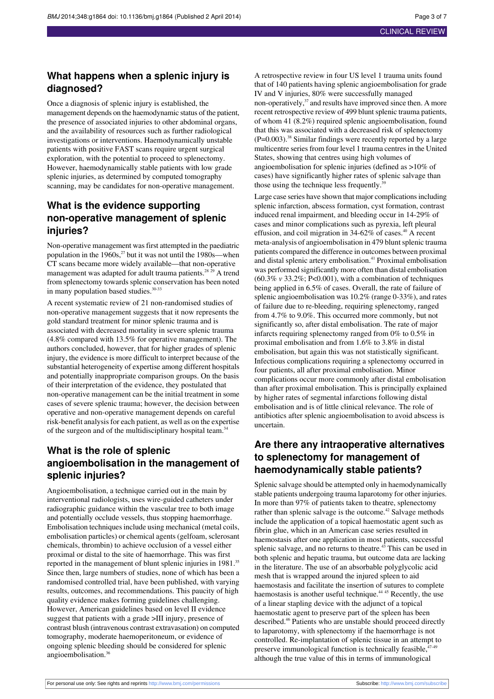#### **What happens when a splenic injury is diagnosed?**

Once a diagnosis of splenic injury is established, the management depends on the haemodynamic status of the patient, the presence of associated injuries to other abdominal organs, and the availability of resources such as further radiological investigations or interventions. Haemodynamically unstable patients with positive FAST scans require urgent surgical exploration, with the potential to proceed to splenectomy. However, haemodynamically stable patients with low grade splenic injuries, as determined by computed tomography scanning, may be candidates for non-operative management.

### **What is the evidence supporting non-operative management of splenic injuries?**

Non-operative management was first attempted in the paediatric population in the  $1960s$ ,<sup>27</sup> but it was not until the  $1980s$ —when CT scans became more widely available—that non-operative management was adapted for adult trauma patients.<sup>28</sup><sup>29</sup> A trend from splenectomy towards splenic conservation has been noted in many population based studies.<sup>30-33</sup>

A recent systematic review of 21 non-randomised studies of non-operative management suggests that it now represents the gold standard treatment for minor splenic trauma and is associated with decreased mortality in severe splenic trauma (4.8% compared with 13.5% for operative management). The authors concluded, however, that for higher grades of splenic injury, the evidence is more difficult to interpret because of the substantial heterogeneity of expertise among different hospitals and potentially inappropriate comparison groups. On the basis of their interpretation of the evidence, they postulated that non-operative management can be the initial treatment in some cases of severe splenic trauma; however, the decision between operative and non-operative management depends on careful risk-benefit analysisfor each patient, as well as on the expertise of the surgeon and of the multidisciplinary hospital team.<sup>34</sup>

## **What is the role of splenic angioembolisation in the management of splenic injuries?**

Angioembolisation, a technique carried out in the main by interventional radiologists, uses wire-guided catheters under radiographic guidance within the vascular tree to both image and potentially occlude vessels, thus stopping haemorrhage. Embolisation techniques include using mechanical (metal coils, embolisation particles) or chemical agents (gelfoam, sclerosant chemicals, thrombin) to achieve occlusion of a vessel either proximal or distal to the site of haemorrhage. This was first reported in the management of blunt splenic injuries in 1981.<sup>35</sup> Since then, large numbers of studies, none of which has been a randomised controlled trial, have been published, with varying results, outcomes, and recommendations. This paucity of high quality evidence makes forming guidelines challenging. However, American guidelines based on level II evidence suggest that patients with a grade >III injury, presence of contrast blush (intravenous contrast extravasation) on computed tomography, moderate haemoperitoneum, or evidence of ongoing splenic bleeding should be considered for splenic angioembolisation.<sup>36</sup>

A retrospective review in four US level 1 trauma units found that of 140 patients having splenic angioembolisation for grade IV and V injuries, 80% were successfully managed non-operatively,<sup>37</sup> and results have improved since then. A more recent retrospective review of 499 blunt splenic trauma patients, of whom 41 (8.2%) required splenic angioembolisation, found that this was associated with a decreased risk of splenectomy  $(P=0.003)$ .<sup>38</sup> Similar findings were recently reported by a large multicentre series from four level 1 trauma centres in the United States, showing that centres using high volumes of angioembolisation for splenic injuries (defined as >10% of cases) have significantly higher rates of splenic salvage than those using the technique less frequently. $39$ 

Large case series have shown that major complications including splenic infarction, abscess formation, cyst formation, contrast induced renal impairment, and bleeding occur in 14-29% of cases and minor complications such as pyrexia, left pleural effusion, and coil migration in 34-62% of cases.<sup>40</sup> A recent meta-analysis of angioembolisation in 479 blunt splenic trauma patients compared the difference in outcomes between proximal and distal splenic artery embolisation.<sup>41</sup> Proximal embolisation was performed significantly more often than distal embolisation  $(60.3\% \text{ v } 33.2\%; P<0.001)$ , with a combination of techniques being applied in 6.5% of cases. Overall, the rate of failure of splenic angioembolisation was 10.2% (range 0-33%), and rates of failure due to re-bleeding, requiring splenectomy, ranged from 4.7% to 9.0%. This occurred more commonly, but not significantly so, after distal embolisation. The rate of major infarcts requiring splenectomy ranged from 0% to 0.5% in proximal embolisation and from 1.6% to 3.8% in distal embolisation, but again this was not statistically significant. Infectious complications requiring a splenectomy occurred in four patients, all after proximal embolisation. Minor complications occur more commonly after distal embolisation than after proximal embolisation. This is principally explained by higher rates of segmental infarctions following distal embolisation and is of little clinical relevance. The role of antibiotics after splenic angioembolisation to avoid abscess is uncertain.

### **Are there any intraoperative alternatives to splenectomy for management of haemodynamically stable patients?**

Splenic salvage should be attempted only in haemodynamically stable patients undergoing trauma laparotomy for other injuries. In more than 97% of patients taken to theatre, splenectomy rather than splenic salvage is the outcome.<sup>42</sup> Salvage methods include the application of a topical haemostatic agent such as fibrin glue, which in an American case series resulted in haemostasis after one application in most patients, successful splenic salvage, and no returns to theatre. $4\overline{3}$  This can be used in both splenic and hepatic trauma, but outcome data are lacking in the literature. The use of an absorbable polyglycolic acid mesh that is wrapped around the injured spleen to aid haemostasis and facilitate the insertion of sutures to complete haemostasis is another useful technique.<sup>44 45</sup> Recently, the use of a linear stapling device with the adjunct of a topical haemostatic agent to preserve part of the spleen has been described.<sup>46</sup> Patients who are unstable should proceed directly to laparotomy, with splenectomy if the haemorrhage is not controlled. Re-implantation of splenic tissue in an attempt to preserve immunological function is technically feasible,<sup>47-49</sup> although the true value of this in terms of immunological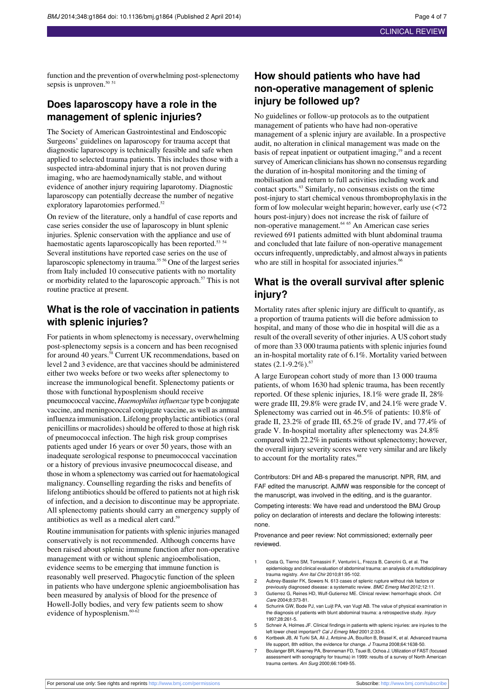function and the prevention of overwhelming post-splenectomy sepsis is unproven.<sup>50 51</sup>

#### **Does laparoscopy have a role in the management of splenic injuries?**

The Society of American Gastrointestinal and Endoscopic Surgeons' guidelines on laparoscopy for trauma accept that diagnostic laparoscopy is technically feasible and safe when applied to selected trauma patients. This includes those with a suspected intra-abdominal injury that is not proven during imaging, who are haemodynamically stable, and without evidence of another injury requiring laparotomy. Diagnostic laparoscopy can potentially decrease the number of negative exploratory laparotomies performed.<sup>52</sup>

On review of the literature, only a handful of case reports and case series consider the use of laparoscopy in blunt splenic injuries. Splenic conservation with the appliance and use of haemostatic agents laparoscopically has been reported.<sup>53 54</sup> Several institutions have reported case series on the use of laparoscopic splenectomy in trauma.<sup>55 56</sup> One of the largest series from Italy included 10 consecutive patients with no mortality or morbidity related to the laparoscopic approach.<sup>57</sup> This is not routine practice at present.

### **What is the role of vaccination in patients with splenic injuries?**

For patients in whom splenectomy is necessary, overwhelming post-splenectomy sepsis is a concern and has been recognised for around 40 years.<sup>58</sup> Current UK recommendations, based on level 2 and 3 evidence, are that vaccines should be administered either two weeks before or two weeks after splenectomy to increase the immunological benefit. Splenectomy patients or those with functional hyposplenism should receive pneumococcal vaccine, *Haemophilusinfluenzae* type b conjugate vaccine, and meningococcal conjugate vaccine, as well as annual influenza immunisation. Lifelong prophylactic antibiotics(oral penicillins or macrolides) should be offered to those at high risk of pneumococcal infection. The high risk group comprises patients aged under 16 years or over 50 years, those with an inadequate serological response to pneumococcal vaccination or a history of previous invasive pneumococcal disease, and those in whom a splenectomy was carried out for haematological malignancy. Counselling regarding the risks and benefits of lifelong antibiotics should be offered to patients not at high risk of infection, and a decision to discontinue may be appropriate. All splenectomy patients should carry an emergency supply of antibiotics as well as a medical alert card.<sup>59</sup>

Routine immunisation for patients with splenic injuries managed conservatively is not recommended. Although concerns have been raised about splenic immune function after non-operative management with or without splenic angioembolisation, evidence seems to be emerging that immune function is reasonably well preserved. Phagocytic function of the spleen in patients who have undergone splenic angioembolisation has been measured by analysis of blood for the presence of Howell-Jolly bodies, and very few patients seem to show evidence of hyposplenism.<sup>60-62</sup>

## **How should patients who have had non-operative management of splenic injury be followed up?**

No guidelines or follow-up protocols as to the outpatient management of patients who have had non-operative management of a splenic injury are available. In a prospective audit, no alteration in clinical management was made on the basis of repeat inpatient or outpatient imaging,<sup>19</sup> and a recent survey of American clinicians has shown no consensus regarding the duration of in-hospital monitoring and the timing of mobilisation and return to full activities including work and contact sports.<sup>63</sup> Similarly, no consensus exists on the time post-injury to start chemical venous thromboprophylaxis in the form of low molecular weight heparin; however, early use (<72 hours post-injury) does not increase the risk of failure of non-operative management.<sup>64 65</sup> An American case series reviewed 691 patients admitted with blunt abdominal trauma and concluded that late failure of non-operative management occurs infrequently, unpredictably, and almost always in patients who are still in hospital for associated injuries.<sup>66</sup>

## **What is the overall survival after splenic injury?**

Mortality rates after splenic injury are difficult to quantify, as a proportion of trauma patients will die before admission to hospital, and many of those who die in hospital will die as a result of the overall severity of other injuries. A US cohort study of more than 33 000 trauma patients with splenic injuries found an in-hospital mortality rate of 6.1%. Mortality varied between states  $(2.1-9.2\%)$ .<sup>67</sup>

A large European cohort study of more than 13 000 trauma patients, of whom 1630 had splenic trauma, has been recently reported. Of these splenic injuries, 18.1% were grade II, 28% were grade III, 29.8% were grade IV, and 24.1% were grade V. Splenectomy was carried out in 46.5% of patients: 10.8% of grade II, 23.2% of grade III, 65.2% of grade IV, and 77.4% of grade V. In-hospital mortality after splenectomy was 24.8% compared with 22.2% in patients without splenectomy; however, the overall injury severity scores were very similar and are likely to account for the mortality rates.<sup>68</sup>

Contributors: DH and AB-s prepared the manuscript. NPR, RM, and FAF edited the manuscript. AJMW was responsible for the concept of the manuscript, was involved in the editing, and is the guarantor.

Competing interests: We have read and understood the BMJ Group policy on declaration of interests and declare the following interests: none.

Provenance and peer review: Not commissioned; externally peer reviewed.

- 1 Costa G, Tierno SM, Tomassini F, Venturini L, Frezza B, Cancrini G, et al. The epidemiology and clinical evaluation of abdominal trauma: an analysis of a multidisciplinary trauma registry. Ann Ital Chir 2010;81:95-102.
- 2 Aubrey-Bassler FK, Sowers N. 613 cases of splenic rupture without risk factors or previously diagnosed disease: a systematic review. BMC Emerg Med 2012;12:11.
- 3 Gutierrez G, Reines HD, Wulf-Gutierrez ME. Clinical review: hemorrhagic shock. Crit Care 2004;8:373-81. 4 Schurink GW, Bode PJ, van Luijt PA, van Vugt AB. The value of physical examination in
- the diagnosis of patients with blunt abdominal trauma: a retrospective study. Injury 1997;28:261-5.
- 5 Schneir A, Holmes JF. Clinical findings in patients with splenic injuries: are injuries to the left lower chest important? Cal J Emerg Med 2001;2:33-6.
- 6 Kortbeek JB, Al Turki SA, Ali J, Antoine JA, Bouillon B, Brasel K, et al. Advanced trauma life support, 8th edition, the evidence for change. *J Trauma* 2008;64:1638-50.<br>7 Boulanger BR, Kearney PA, Brenneman FD, Tsuei B, Ochoa J. Utilization of FAST (focused
- assessment with sonography for trauma) in 1999: results of a survey of North American trauma centers. Am Surg 2000;66:1049-55.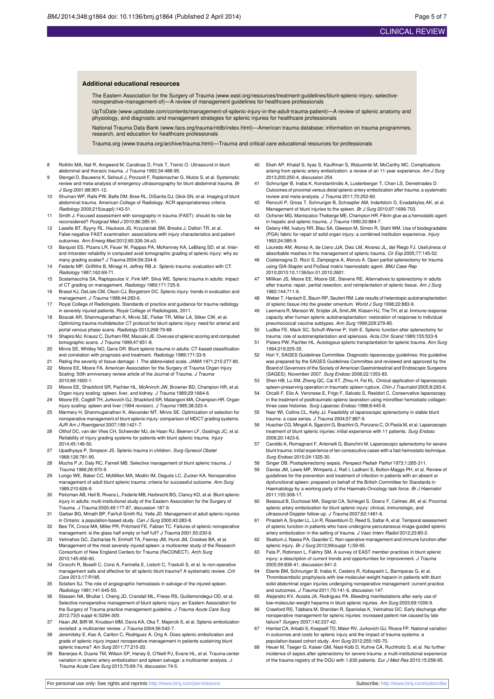#### **Additional educational resources**

The Eastern Association for the Surgery of Trauma [\(www.east.org/resources/treatment-guidelines/blunt-splenic-injury,-selective](http://www.east.org/resources/treatment-guidelines/blunt-splenic-injury%2C-selective-nonoperative-management-of)[nonoperative-management-of\)](http://www.east.org/resources/treatment-guidelines/blunt-splenic-injury%2C-selective-nonoperative-management-of)—A review of management guidelines for healthcare professionals

UpToDate ([www.uptodate.com/contents/management-of-splenic-injury-in-the-adult-trauma-patient](http://www.uptodate.com/contents/management-of-splenic-injury-in-the-adult-trauma-patient))—A review of splenic anatomy and physiology, and diagnostic and management strategies for splenic injuries for healthcare professionals

National Trauma Data Bank [\(www.facs.org/trauma/ntdb/index.html](http://www.facs.org/trauma/ntdb/index.html))—American trauma database; information on trauma programmes, research, and education for healthcare professionals

Trauma.org ([www.trauma.org/archive/trauma.html](http://www.trauma.org/archive/trauma.html))—Trauma and critical care educational resources for professionals

- 8 Rothlin MA, Naf R, Amgwerd M, Candinas D, Frick T, Trentz O. Ultrasound in blunt abdominal and thoracic trauma. J Trauma 1993;34:488-95.
- 9 Stengel D, Bauwens K, Sehouli J, Porzsolt F, Rademacher G, Mutze S, et al. Systematic review and meta-analysis of emergency ultrasonography for blunt abdominal trauma. Br J Surg 2001;88:901-12.
- 10 Shuman WP, Ralls PW, Balfe DM, Bree RL, DiSantis DJ, Glick SN, et al. Imaging of blunt abdominal trauma. American College of Radiology: ACR appropriateness criteria. Radiology 2000;215(suppl):143-51.
- 11 Smith J. Focused assessment with sonography in trauma (FAST): should its role be reconsidered? Postgrad Med J 2010;86:285-91.
- 12 Laselle BT, Byyny RL, Haukoos JS, Krzyzaniak SM, Brooks J, Dalton TR, et al. False-negative FAST examination: associations with injury characteristics and patient outcomes. Ann Emerg Med 2012;60:326-34.e3.
- 13 Barquist ES, Pizano LR, Feuer W, Pappas PA, McKenney KA, LeBlang SD, et al. Interand intrarater reliability in computed axial tomographic grading of splenic injury: why so many grading scales? J Trauma 2004;56:334-8.
- 14 Federle MP, Griffiths B, Minagi H, Jeffrey RB Jr. Splenic trauma: evaluation with CT. Radiology 1987;162:69-71.
- 15 Scatamacchia SA, Raptopoulos V, Fink MP, Silva WE. Splenic trauma in adults: impact of CT grading on management. Radiology 1989;171:725-9.
- 16 Brasel KJ, DeLisle CM, Olson CJ, Borgstrom DC. Splenic injury: trends in evaluation and management. J Trauma 1998;44:283-6.
- 17 Royal College of Radiologists. Standards of practice and guidance for trauma radiology in severely injured patients. Royal College of Radiologists, 2011.
- 18 Boscak AR, Shanmuganathan K, Mirvis SE, Fleiter TR, Miller LA, Sliker CW, et al. Optimizing trauma multidetector CT protocol for blunt splenic injury: need for arterial and portal venous phase scans. Radiology 2013;268:79-88.
- 19 Shapiro MJ, Krausz C, Durham RM, Mazuski JE. Overuse of splenic scoring and computed tomographic scans. J Trauma 1999;47:651-8.
- 20 Mirvis SE, Whitley NO, Gens DR. Blunt splenic trauma in adults: CT-based classification and correlation with prognosis and treatment. Radiology 1989;171:33-9.
- 21 Rating the severity of tissue damage: I. The abbreviated scale. JAMA 1971;215:277-80. Moore EE, Moore FA. American Association for the Surgery of Trauma Organ Injury Scaling: 50th anniversary review article of the Journal of Trauma. J Trauma 2010;69:1600-1.
- 23 Moore EE, Shackford SR, Pachter HL, McAninch JW, Browner BD, Champion HR, et al. Organ injury scaling: spleen, liver, and kidney. J Trauma 1989;29:1664-6.
- 24 Moore EE, Cogbill TH, Jurkovich GJ, Shackford SR, Malangoni MA, Champion HR. Organ injury scaling: spleen and liver (1994 revision). J Trauma 1995;38:323-4.
- 25 Marmery H, Shanmuganathan K, Alexander MT, Mirvis SE. Optimization of selection for nonoperative management of blunt splenic injury: comparison of MDCT grading systems. AJR Am J Roentgenol 2007;189:1421-7.
- 26 Olthof DC, van der Vlies CH, Scheerder MJ, de Haan RJ, Beenen LF, Goslings JC, et al. Reliability of injury grading systems for patients with blunt splenic trauma. Injury 2014;45:146-50.
- 27 Upadhyaya P, Simpson JS. Splenic trauma in children. Surg Gynecol Obstet 1968;126:781-90.
- 28 Mucha P Jr, Daly RC, Farnell MB. Selective management of blunt splenic trauma. J Trauma 1986;26:970-9.
- 29 Longo WE, Baker CC, McMillen MA, Modlin IM, Degutis LC, Zucker KA. Nonoperative management of adult blunt splenic trauma: criteria for successful outcome. Ann Surg 1989;210:626-9.
- 30 Peitzman AB, Heil B, Rivera L, Federle MB, Harbrecht BG, Clancy KD, et al. Blunt splenic injury in adults: multi-institutional study of the Eastern Association for the Surgery of Trauma. J Trauma 2000;49:177-87, discussion 187-9.
- 31 Garber BG, Mmath BP, Fairfull-Smith RJ, Yelle JD. Management of adult splenic injuries in Ontario: a population-based study. *Can J Surg* 2000;43:283-8.<br>32 Bee TK, Croce MA, Miller PR, Pritchard FE, Fabian TC. Failures of splenic nonoperative
- management: is the glass half empty or half full? J Trauma 2001;50:230-6.
- 33 Velmahos GC, Zacharias N, Emhoff TA, Feeney JM, Hurst JM, Crookes BA, et al. Management of the most severely injured spleen: a multicenter study of the Research Consortium of New England Centers for Trauma (ReCONECT). Arch Surg 2010;145:456-60.
- 34 Cirocchi R, Boselli C, Corsi A, Farinella E, Listorti C, Trastulli S, et al. Is non-operative management safe and effective for all splenic blunt trauma? A systematic review. Crit Care 2013;17:R185.
- 35 Sclafani SJ. The role of angiographic hemostasis in salvage of the injured spleen. Radiology 1981;141:645-50.
- 36 Stassen NA, Bhullar I, Cheng JD, Crandall ML, Friese RS, Guillamondegui OD, et al. Selective nonoperative management of blunt splenic injury: an Eastern Association for the Surgery of Trauma practice management guideline. J Trauma Acute Care Surg 2012;73(5 suppl 4):S294-300.
- 37 Haan JM, Biffl W, Knudson MM, Davis KA, Oka T, Majercik S, et al. Splenic embolization revisited: a multicenter review. J Trauma 2004;56:542-7.
- 38 Jeremitsky E, Kao A, Carlton C, Rodriguez A, Ong A. Does splenic embolization and grade of splenic injury impact nonoperative management in patients sustaining blunt splenic trauma? Am Surg 2011;77:215-20.
- 39 Banerjee A, Duane TM, Wilson SP, Haney S, O'Neill PJ, Evans HL, et al. Trauma center variation in splenic artery embolization and spleen salvage: a multicenter analysis. J Trauma Acute Care Surg 2013;75:69-74, discussion 74-5.
- 40 Ekeh AP, Khalaf S, Ilyas S, Kauffman S, Walusimbi M, McCarthy MC. Complications arising from splenic artery embolization: a review of an 11-year experience. Am J Surg 2013;205:250-4, discussion 254.
- 41 Schnuriger B, Inaba K, Konstantinidis A, Lustenberger T, Chan LS, Demetriades D. Outcomes of proximal versus distal splenic artery embolization after trauma: a systematic review and meta-analysis. J Trauma 2011;70:252-60.
- 42 Renzulli P, Gross T, Schnuriger B, Schoepfer AM, Inderbitzin D, Exadaktylos AK, et al. Management of blunt injuries to the spleen. Br J Surg 2010;97:1696-703.
- 43 Ochsner MG, Maniscalco-Theberge ME, Champion HR. Fibrin glue as a hemostatic agent in hepatic and splenic trauma. J Trauma 1990;30:884-7.
- Delany HM, Ivatury RR, Blau SA, Gleeson M, Simon R, Stahl WM. Use of biodegradab (PGA) fabric for repair of solid organ injury: a combined institution experience. Injury 1993;24:585-9.
- 45 Louredo AM, Alonso A, de Llano JJA, Diez LM, Alvarez JL, del Riego FJ. Usefulness of absorbable meshes in the management of splenic trauma. Cir Esp 2005;77:145-52.
- 46 Costamagna D, Rizzi S, Zampogna A, Alonzo A. Open partial splenectomy for trauma using GIA-Stapler and FloSeal matrix haemostatic agent. BMJ Case Rep 2010;2010:10.1136/bcr.01.2010.2601.
- 47 Millikan JS, Moore EE, Moore GE, Stevens RE. Alternatives to splenectomy in adults after trauma: repair, partial resection, and reimplantation of splenic tissue. Am J Surg 1982;144:711-6.
- Weber T, Hanisch E, Baum RP, Seufert RM. Late results of heterotopic autotransplantation of splenic tissue into the greater omentum. World J Surg 1998;22:883-9.
- 49 Leemans R, Manson W, Snijder JA, Smit JW, Klasen HJ, The TH, et al. Immune response capacity after human splenic autotransplantation: restoration of response to individual pneumococcal vaccine subtypes. Ann Surg 1999;229:279-85.
- 50 Ludtke FE, Mack SC, Schuff-Werner P, Voth E. Splenic function after splenectomy for trauma: role of autotransplantation and splenosis. Acta Chir Scand 1989;155:533-9.
- 51 Pisters PW, Pachter HL. Autologous splenic transplantation for splenic trauma. Ann Surg 1994;219:225-35.
- 52 Hori Y, SAGES Guidelines Committee. Diagnostic laparoscopy guidelines: this guideline was prepared by the SAGES Guidelines Committee and reviewed and approved by the Board of Governors of the Society of American Gastrointestinal and Endoscopic Surgeons (SAGES), November 2007. Surg Endosc 2008;22:1353-83.
- 53 Shen HB, Lu XM, Zheng QC, Cai XT, Zhou H, Fei KL. Clinical application of laparoscopic spleen-preserving operation in traumatic spleen rupture. Chin J Traumatol 2005;8:293-6.
- Orcalli F, Elio A, Veronese E, Frigo F, Salvato S, Residori C. Conservative laparoscopy in the treatment of posttraumatic splenic laceration using microfiber hemostatic collagen: three case histories. Surg Laparosc Endosc 1998;8:445-8.
- 55 Nasr WI, Collins CL, Kelly JJ. Feasibility of laparoscopic splenectomy in stable blunt trauma: a case series. J Trauma 2004;57:887-9.
- 56 Huscher CG, Mingoli A, Sgarzini G, Brachini G, Ponzano C, Di Paola M, et al. Laparoscopic treatment of blunt splenic injuries: initial experience with 11 patients. Surg Endosc 2006;20:1423-6.
- 57 Carobbi A, Romagnani F, Antonelli G, Bianchini M. Laparoscopic splenectomy for severe blunt trauma: initial experience of ten consecutive cases with a fast hemostatic technique. Surg Endosc 2010;24:1325-30.
- Singer DB. Postsplenectomy sepsis. Perspect Pediatr Pathol 1973;1:285-311.
- 59 Davies JM, Lewis MP, Wimperis J, Rafi I, Ladhani S, Bolton-Maggs PH, et al. Review of guidelines for the prevention and treatment of infection in patients with an absent or dysfunctional spleen: prepared on behalf of the British Committee for Standards in Haematology by a working party of the Haemato-Oncology task force. Br J Haematol 2011;155:308-17.
- 60 Bessoud B, Duchosal MA, Siegrist CA, Schlegel S, Doenz F, Calmes JM, et al. Proximal splenic artery embolization for blunt splenic injury: clinical, immunologic, and ultrasound-Doppler follow-up. J Trauma 2007;62:1481-6.
- 61 Pirasteh A, Snyder LL, Lin R, Rosenblum D, Reed S, Sattar A, et al. Temporal assessment of splenic function in patients who have undergone percutaneous image-guided splenic artery embolization in the setting of trauma. J Vasc Interv Radiol 2012;23:80-2.
- 62 Skattum J, Naess PA, Gaarder C. Non-operative management and immune function after splenic injury. Br J Surg 2012;99(suppl 1):59-65.
- Fata P, Robinson L, Fakhry SM. A survey of EAST member practices in blunt splenic injury: a description of current trends and opportunities for improvement. J Trauma 2005;59:836-41, discussion 841-2.
- Eberle BM, Schnuriger B, Inaba K, Cestero R, Kobayashi L, Barmparas G, et al. Thromboembolic prophylaxis with low-molecular-weight heparin in patients with blunt solid abdominal organ injuries undergoing nonoperative management: current practice<br>and outcomes. J Trauma 2011;70:141-6, discussion 147.
- 65 Alejandro KV, Acosta JA, Rodriguez PA. Bleeding manifestations after early use of low-molecular-weight heparins in blunt splenic injuries. Am Surg 2003;69:1006-9.
- 66 Crawford RS, Tabbara M, Sheridan R, Spaniolas K, Velmahos GC. Early discharge after nonoperative management for splenic injuries: increased patient risk caused by late failure? Surgery 2007;142:337-42.
- 67 Hamlat CA, Arbabi S, Koepsell TD, Maier RV, Jurkovich GJ, Rivara FP. National variation in outcomes and costs for splenic injury and the impact of trauma systems: a population-based cohort study. Ann Surg 2012;255:165-70.
- .<br>Heuer M, Taeger G, Kaiser GM, Nast-Kolb D, Kuhne CA, Ruchholtz S, et al. No further incidence of sepsis after splenectomy for severe trauma: a multi-institutional experience of the trauma registry of the DGU with 1,630 patients. Eur J Med Res 2010;15:258-65.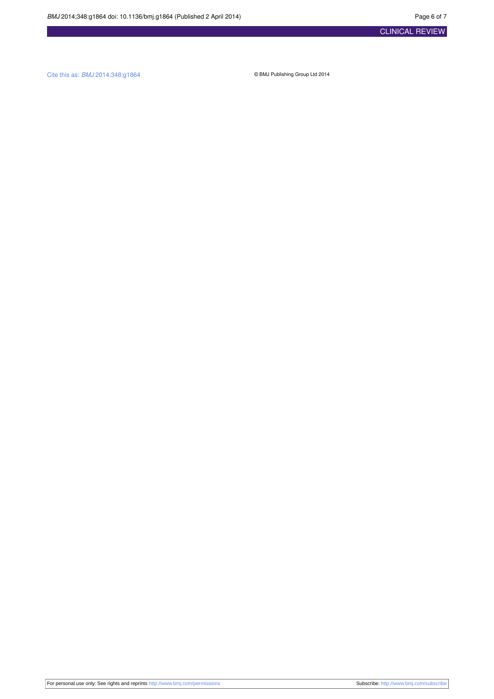Cite this as: BMJ 2014;348:g1864 © BMJ Publishing Group Ltd 2014